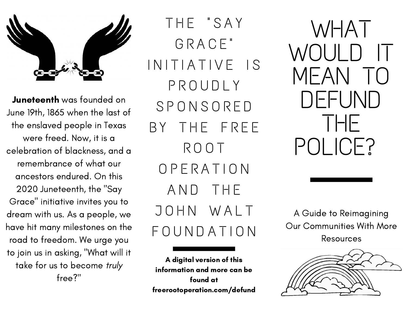

Juneteenth was founded on June 19th, 1865 when the last of the enslaved people in Texas were freed. Now, it is a celebration of blackness, and a remembrance of what our ancestors endured. On this 2020 Juneteenth, the "Say Grace " initiative invites you to dream with us. As a people, we have hit many milestones on the road to freedom. We urge you to join us in asking, "What will it take for us to become truly free?"

T H E " S A Y G R A C E " INITIATIVE IS P R O U D L Y S P O N S O R E D BY THE FREE R O O T O P E R A T I O N AND THE J O H N W A L T FOUNDATION

A digital version of this information and more can be found at freerootoperation.com/defund

WHAT WOULD IT MEAN TO DEFUND THE POLICE?

A Guide to Reimagining Our Communities With More Resources